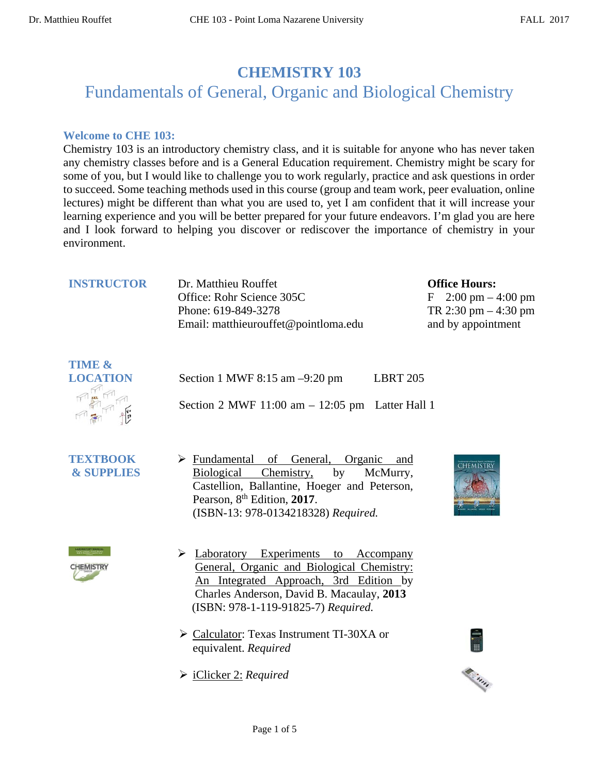# **CHEMISTRY 103**

# Fundamentals of General, Organic and Biological Chemistry

# **Welcome to CHE 103:**

Chemistry 103 is an introductory chemistry class, and it is suitable for anyone who has never taken any chemistry classes before and is a General Education requirement. Chemistry might be scary for some of you, but I would like to challenge you to work regularly, practice and ask questions in order to succeed. Some teaching methods used in this course (group and team work, peer evaluation, online lectures) might be different than what you are used to, yet I am confident that it will increase your learning experience and you will be better prepared for your future endeavors. I'm glad you are here and I look forward to helping you discover or rediscover the importance of chemistry in your environment.

| <b>INSTRUCTOR</b> | Dr. Matthieu Rouffet<br>Office: Rohr Science 305C<br>Phone: 619-849-3278 | <b>Office Hours:</b><br>F $2:00 \text{ pm} - 4:00 \text{ pm}$<br>TR 2:30 pm $-4:30$ pm |
|-------------------|--------------------------------------------------------------------------|----------------------------------------------------------------------------------------|
|                   | Email: matthieurouffet@pointloma.edu                                     | and by appointment                                                                     |



| Section 1 MWF 8:15 am $-9:20$ pm                   | <b>LBRT 205</b> |
|----------------------------------------------------|-----------------|
| Section 2 MWF $11:00$ am $-12:05$ pm Latter Hall 1 |                 |

- **TEXTBOOK & SUPPLIES**
- Fundamental of General, Organic and Biological Chemistry, by McMurry, Castellion, Ballantine, Hoeger and Peterson, Pearson, 8<sup>th</sup> Edition, 2017. (ISBN-13: 978-0134218328) *Required.*





- > Laboratory Experiments to Accompany General, Organic and Biological Chemistry: An Integrated Approach, 3rd Edition by Charles Anderson, David B. Macaulay, **2013** (ISBN: 978-1-119-91825-7) *Required.*
- Calculator: Texas Instrument TI-30XA or equivalent. *Required*
- iClicker 2: *Required*



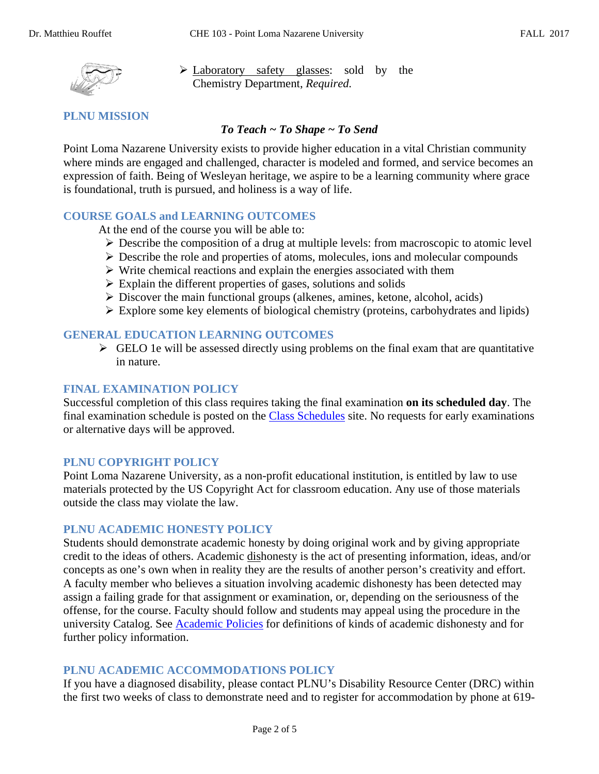

 Laboratory safety glasses: sold by the Chemistry Department, *Required.*

# **PLNU MISSION**

#### *To Teach ~ To Shape ~ To Send*

Point Loma Nazarene University exists to provide higher education in a vital Christian community where minds are engaged and challenged, character is modeled and formed, and service becomes an expression of faith. Being of Wesleyan heritage, we aspire to be a learning community where grace is foundational, truth is pursued, and holiness is a way of life.

# **COURSE GOALS and LEARNING OUTCOMES**

At the end of the course you will be able to:

- $\triangleright$  Describe the composition of a drug at multiple levels: from macroscopic to atomic level
- $\triangleright$  Describe the role and properties of atoms, molecules, ions and molecular compounds
- $\triangleright$  Write chemical reactions and explain the energies associated with them
- $\triangleright$  Explain the different properties of gases, solutions and solids
- $\triangleright$  Discover the main functional groups (alkenes, amines, ketone, alcohol, acids)
- $\triangleright$  Explore some key elements of biological chemistry (proteins, carbohydrates and lipids)

#### **GENERAL EDUCATION LEARNING OUTCOMES**

 $\triangleright$  GELO 1e will be assessed directly using problems on the final exam that are quantitative in nature.

#### **FINAL EXAMINATION POLICY**

Successful completion of this class requires taking the final examination **on its scheduled day**. The final examination schedule is posted on the [Class Schedules](http://www.pointloma.edu/experience/academics/class-schedules) site. No requests for early examinations or alternative days will be approved.

#### **PLNU COPYRIGHT POLICY**

Point Loma Nazarene University, as a non-profit educational institution, is entitled by law to use materials protected by the US Copyright Act for classroom education. Any use of those materials outside the class may violate the law.

#### **PLNU ACADEMIC HONESTY POLICY**

Students should demonstrate academic honesty by doing original work and by giving appropriate credit to the ideas of others. Academic dishonesty is the act of presenting information, ideas, and/or concepts as one's own when in reality they are the results of another person's creativity and effort. A faculty member who believes a situation involving academic dishonesty has been detected may assign a failing grade for that assignment or examination, or, depending on the seriousness of the offense, for the course. Faculty should follow and students may appeal using the procedure in the university Catalog. See [Academic Policies](http://catalog.pointloma.edu/content.php?catoid=18&navoid=1278) for definitions of kinds of academic dishonesty and for further policy information.

# **PLNU ACADEMIC ACCOMMODATIONS POLICY**

If you have a diagnosed disability, please contact PLNU's Disability Resource Center (DRC) within the first two weeks of class to demonstrate need and to register for accommodation by phone at 619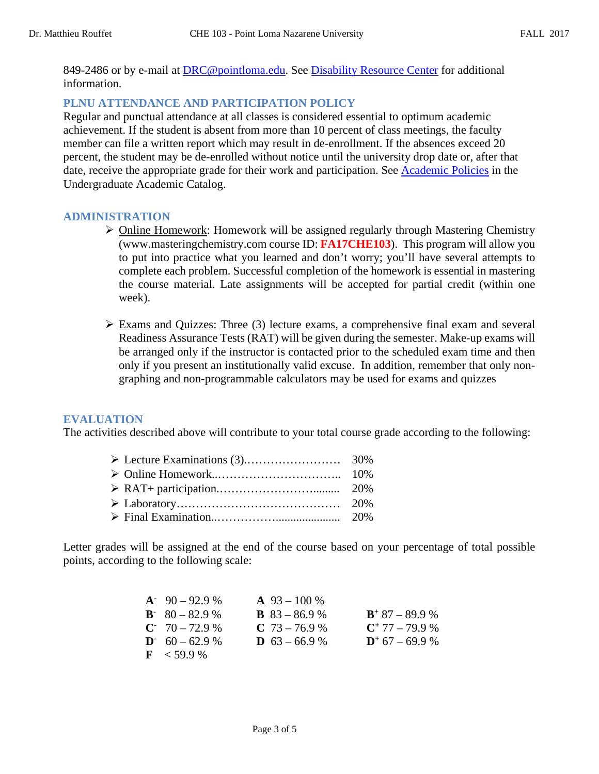849-2486 or by e-mail at [DRC@pointloma.edu.](mailto:DRC@pointloma.edu) See [Disability Resource Center](http://www.pointloma.edu/experience/offices/administrative-offices/academic-advising-office/disability-resource-center) for additional information.

# **PLNU ATTENDANCE AND PARTICIPATION POLICY**

Regular and punctual attendance at all classes is considered essential to optimum academic achievement. If the student is absent from more than 10 percent of class meetings, the faculty member can file a written report which may result in de-enrollment. If the absences exceed 20 percent, the student may be de-enrolled without notice until the university drop date or, after that date, receive the appropriate grade for their work and participation. See [Academic Policies](http://catalog.pointloma.edu/content.php?catoid=18&navoid=1278) in the Undergraduate Academic Catalog.

#### **ADMINISTRATION**

- ▶ Online Homework: Homework will be assigned regularly through Mastering Chemistry (www.masteringchemistry.com course ID: **FA17CHE103**). This program will allow you to put into practice what you learned and don't worry; you'll have several attempts to complete each problem. Successful completion of the homework is essential in mastering the course material. Late assignments will be accepted for partial credit (within one week).
- Exams and Quizzes: Three (3) lecture exams, a comprehensive final exam and several Readiness Assurance Tests (RAT) will be given during the semester. Make-up exams will be arranged only if the instructor is contacted prior to the scheduled exam time and then only if you present an institutionally valid excuse. In addition, remember that only nongraphing and non-programmable calculators may be used for exams and quizzes

#### **EVALUATION**

The activities described above will contribute to your total course grade according to the following:

Letter grades will be assigned at the end of the course based on your percentage of total possible points, according to the following scale:

| $A^2$ 90 – 92.9 %         | $\mathbf{A}$ 93 – 100 % |                   |
|---------------------------|-------------------------|-------------------|
| $B^{\dagger}$ 80 – 82.9 % | <b>B</b> $83 - 86.9$ %  | $B^+$ 87 – 89.9 % |
| $C = 70 - 72.9 %$         | $C$ 73 – 76.9 %         | $C^+$ 77 – 79.9 % |
| $D \cdot 60 - 62.9 \%$    | <b>D</b> $63 - 66.9$ %  | $D^+$ 67 – 69.9 % |
| $\mathbf{F}$ < 59.9 %     |                         |                   |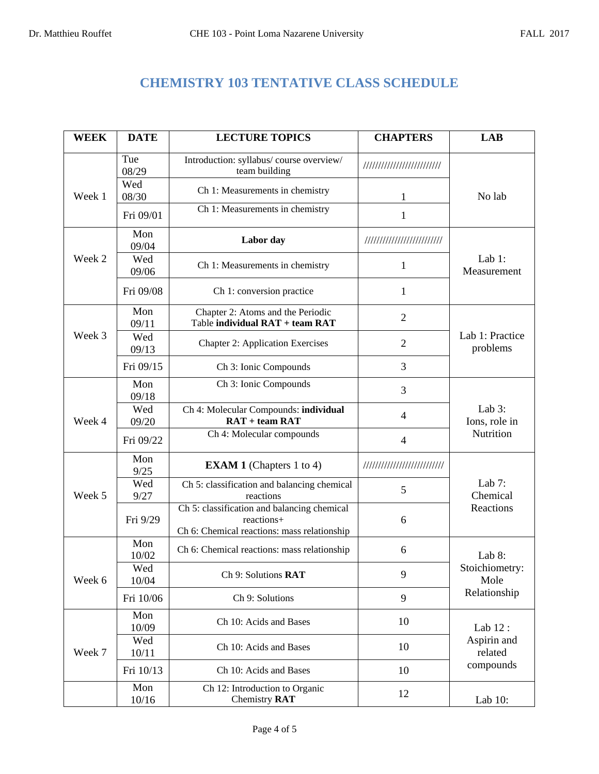# **CHEMISTRY 103 TENTATIVE CLASS SCHEDULE**

| <b>WEEK</b> | <b>DATE</b>  | <b>LECTURE TOPICS</b>                                                                                    | <b>CHAPTERS</b>             | <b>LAB</b>                        |
|-------------|--------------|----------------------------------------------------------------------------------------------------------|-----------------------------|-----------------------------------|
| Week 1      | Tue<br>08/29 | Introduction: syllabus/course overview/<br>team building                                                 | /////////////////////////   |                                   |
|             | Wed<br>08/30 | Ch 1: Measurements in chemistry                                                                          |                             | No lab                            |
|             | Fri 09/01    | Ch 1: Measurements in chemistry                                                                          | 1                           |                                   |
| Week 2      | Mon<br>09/04 | Labor day                                                                                                | //////////////////////////  | Lab $1$ :<br>Measurement          |
|             | Wed<br>09/06 | Ch 1: Measurements in chemistry                                                                          | 1                           |                                   |
|             | Fri 09/08    | Ch 1: conversion practice                                                                                | 1                           |                                   |
|             | Mon<br>09/11 | Chapter 2: Atoms and the Periodic<br>Table individual RAT + team RAT                                     | $\overline{2}$              |                                   |
| Week 3      | Wed<br>09/13 | <b>Chapter 2: Application Exercises</b>                                                                  | $\overline{2}$              | Lab 1: Practice<br>problems       |
|             | Fri 09/15    | Ch 3: Ionic Compounds                                                                                    | 3                           |                                   |
| Week 4      | Mon<br>09/18 | Ch 3: Ionic Compounds                                                                                    | 3                           | Lab $3$ :<br>Ions, role in        |
|             | Wed<br>09/20 | Ch 4: Molecular Compounds: individual<br>$RAT + team RAT$                                                | $\overline{4}$              |                                   |
|             | Fri 09/22    | Ch 4: Molecular compounds                                                                                | $\overline{4}$              | Nutrition                         |
|             | Mon<br>9/25  | <b>EXAM 1</b> (Chapters 1 to 4)                                                                          | /////////////////////////// | Lab $7:$<br>Chemical<br>Reactions |
| Week 5      | Wed<br>9/27  | Ch 5: classification and balancing chemical<br>reactions                                                 | 5                           |                                   |
|             | Fri 9/29     | Ch 5: classification and balancing chemical<br>reactions+<br>Ch 6: Chemical reactions: mass relationship | 6                           |                                   |
| Week 6      | Mon<br>10/02 | Ch 6: Chemical reactions: mass relationship                                                              | 6                           | Lab 8:                            |
|             | Wed<br>10/04 | Ch 9: Solutions RAT                                                                                      | 9                           | Stoichiometry:<br>Mole            |
|             | Fri 10/06    | Ch 9: Solutions                                                                                          | 9                           | Relationship                      |
| Week 7      | Mon<br>10/09 | Ch 10: Acids and Bases                                                                                   | 10                          | Lab 12:                           |
|             | Wed<br>10/11 | Ch 10: Acids and Bases                                                                                   | 10                          | Aspirin and<br>related            |
|             | Fri 10/13    | Ch 10: Acids and Bases                                                                                   | 10                          | compounds                         |
|             | Mon<br>10/16 | Ch 12: Introduction to Organic<br>Chemistry RAT                                                          | 12                          | Lab $10$ :                        |